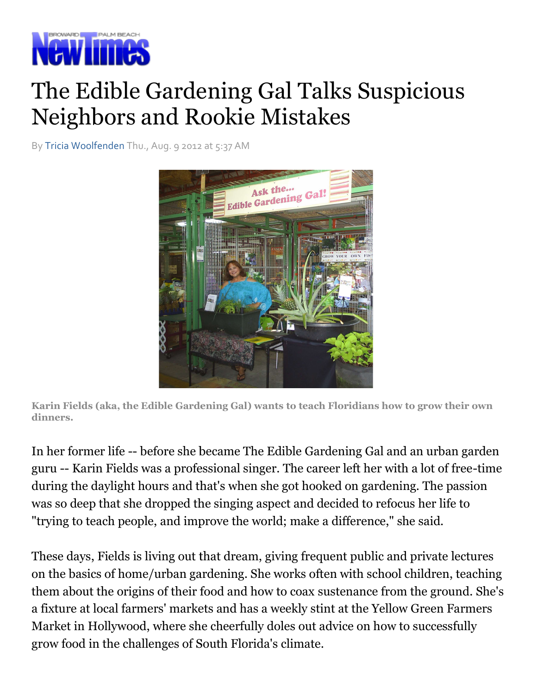

## The Edible Gardening Gal Talks Suspicious Neighbors and Rookie Mistakes Rookie Mistakes

By Tricia Woolfenden Thu., Aug. 9 2012 at 5:37 AM



Karin Fields (aka, the Edible Gardening Gal) wants to teach Floridians how to grow their own dinners.

In her former life -- before she became The Edible Gardening Gal and an urban garden guru -- Karin Fields was a professional singer. The career left her with a lot of free during the daylight hours and that's when she got hooked on gardening. The passion was so deep that she dropped the singing aspect and decided to refocus her life to "trying to teach people, and improve the world; make a difference," she said. re she became The Edible Gardening Gal and an urban garden<br>a professional singer. The career left her with a lot of free-time<br>s and that's when she got hooked on gardening. The passion

These days, Fields is living out that dream, giving frequent public and private lectures on the basics of home/urban gardening. She works often with school children, teaching "trying to teach people, and improve the world; make a difference," she said.<br>These days, Fields is living out that dream, giving frequent public and private lectures<br>on the basics of home/urban gardening. She works often a fixture at local farmers' markets and has a weekly stint at the Yellow Green Farmers Market in Hollywood, where she cheerfully doles out advice on how to successfully grow food in the challenges of South Florida's climate. in Fields (aka, the Edible Gardening Gal) wants to teach Floridians how to grow their own<br>ners.<br>her former life -- before she became The Edible Gardening Gal and an urban garden<br>ru -- Karin Fields was a professional singer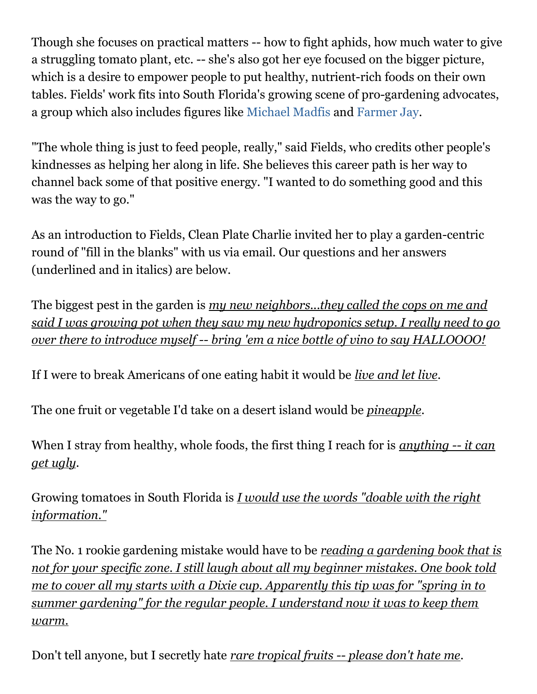Though she focuses on practical matters -- how to fight aphids, how much water to give a struggling tomato plant, etc. -- she's also got her eye focused on the bigger picture, which is a desire to empower people to put healthy, nutrient-rich foods on their own tables. Fields' work fits into South Florida's growing scene of pro-gardening advocates, a group which also includes figures like Michael Madfis and Farmer Jay.

"The whole thing is just to feed people, really," said Fields, who credits other people's kindnesses as helping her along in life. She believes this career path is her way to channel back some of that positive energy. "I wanted to do something good and this was the way to go."

As an introduction to Fields, Clean Plate Charlie invited her to play a garden-centric round of "fill in the blanks" with us via email. Our questions and her answers (underlined and in italics) are below.

The biggest pest in the garden is my new neighbors...they called the cops on me and said I was growing pot when they saw my new hydroponics setup. I really need to go over there to introduce myself -- bring 'em a nice bottle of vino to say HALLOOOO!

If I were to break Americans of one eating habit it would be *live and let live*.

The one fruit or vegetable I'd take on a desert island would be pineapple.

When I stray from healthy, whole foods, the first thing I reach for is *anything* -- *it can* get ugly.

Growing tomatoes in South Florida is *I would use the words "doable with the right* information."

The No. 1 rookie gardening mistake would have to be reading a gardening book that is not for your specific zone. I still laugh about all my beginner mistakes. One book told me to cover all my starts with a Dixie cup. Apparently this tip was for "spring in to summer gardening" for the regular people. I understand now it was to keep them warm.

Don't tell anyone, but I secretly hate rare tropical fruits -- please don't hate me.